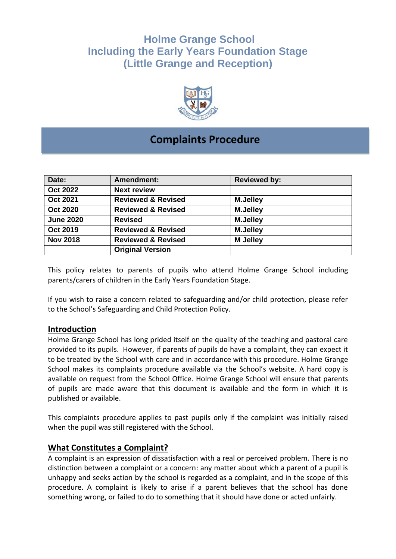# **Holme Grange School Including the Early Years Foundation Stage (Little Grange and Reception)**



## **Complaints Procedure**

| Date:            | Amendment:                    | <b>Reviewed by:</b> |
|------------------|-------------------------------|---------------------|
| Oct 2022         | <b>Next review</b>            |                     |
| <b>Oct 2021</b>  | <b>Reviewed &amp; Revised</b> | <b>M.Jelley</b>     |
| <b>Oct 2020</b>  | <b>Reviewed &amp; Revised</b> | <b>M.Jelley</b>     |
| <b>June 2020</b> | <b>Revised</b>                | <b>M.Jelley</b>     |
| <b>Oct 2019</b>  | <b>Reviewed &amp; Revised</b> | <b>M.Jelley</b>     |
| <b>Nov 2018</b>  | <b>Reviewed &amp; Revised</b> | <b>M</b> Jelley     |
|                  | <b>Original Version</b>       |                     |

This policy relates to parents of pupils who attend Holme Grange School including parents/carers of children in the Early Years Foundation Stage.

If you wish to raise a concern related to safeguarding and/or child protection, please refer to the School's Safeguarding and Child Protection Policy.

#### **Introduction**

Holme Grange School has long prided itself on the quality of the teaching and pastoral care provided to its pupils. However, if parents of pupils do have a complaint, they can expect it to be treated by the School with care and in accordance with this procedure. Holme Grange School makes its complaints procedure available via the School's website. A hard copy is available on request from the School Office. Holme Grange School will ensure that parents of pupils are made aware that this document is available and the form in which it is published or available.

This complaints procedure applies to past pupils only if the complaint was initially raised when the pupil was still registered with the School.

## **What Constitutes a Complaint?**

A complaint is an expression of dissatisfaction with a real or perceived problem. There is no distinction between a complaint or a concern: any matter about which a parent of a pupil is unhappy and seeks action by the school is regarded as a complaint, and in the scope of this procedure. A complaint is likely to arise if a parent believes that the school has done something wrong, or failed to do to something that it should have done or acted unfairly.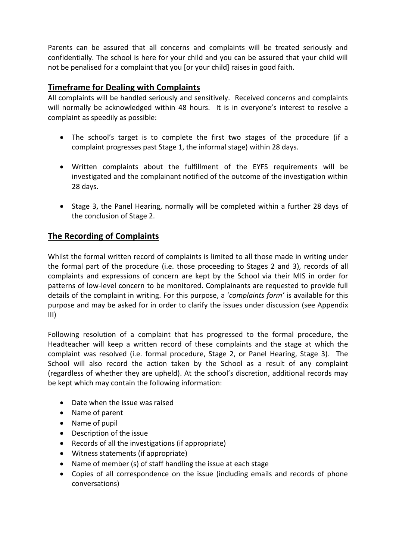Parents can be assured that all concerns and complaints will be treated seriously and confidentially. The school is here for your child and you can be assured that your child will not be penalised for a complaint that you [or your child] raises in good faith.

## **Timeframe for Dealing with Complaints**

All complaints will be handled seriously and sensitively. Received concerns and complaints will normally be acknowledged within 48 hours. It is in everyone's interest to resolve a complaint as speedily as possible:

- The school's target is to complete the first two stages of the procedure (if a complaint progresses past Stage 1, the informal stage) within 28 days.
- Written complaints about the fulfillment of the EYFS requirements will be investigated and the complainant notified of the outcome of the investigation within 28 days.
- Stage 3, the Panel Hearing, normally will be completed within a further 28 days of the conclusion of Stage 2.

## **The Recording of Complaints**

Whilst the formal written record of complaints is limited to all those made in writing under the formal part of the procedure (i.e. those proceeding to Stages 2 and 3), records of all complaints and expressions of concern are kept by the School via their MIS in order for patterns of low-level concern to be monitored. Complainants are requested to provide full details of the complaint in writing. For this purpose, a '*complaints form'* is available for this purpose and may be asked for in order to clarify the issues under discussion (see Appendix III)

Following resolution of a complaint that has progressed to the formal procedure, the Headteacher will keep a written record of these complaints and the stage at which the complaint was resolved (i.e. formal procedure, Stage 2, or Panel Hearing, Stage 3). The School will also record the action taken by the School as a result of any complaint (regardless of whether they are upheld). At the school's discretion, additional records may be kept which may contain the following information:

- Date when the issue was raised
- Name of parent
- Name of pupil
- Description of the issue
- Records of all the investigations (if appropriate)
- Witness statements (if appropriate)
- Name of member (s) of staff handling the issue at each stage
- Copies of all correspondence on the issue (including emails and records of phone conversations)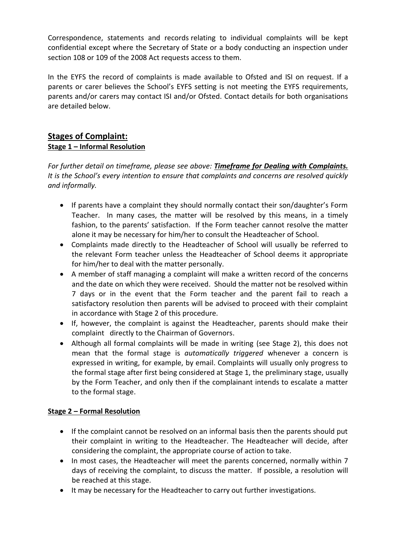Correspondence, statements and records relating to individual complaints will be kept confidential except where the Secretary of State or a body conducting an inspection under section 108 or 109 of the 2008 Act requests access to them.

In the EYFS the record of complaints is made available to Ofsted and ISI on request. If a parents or carer believes the School's EYFS setting is not meeting the EYFS requirements, parents and/or carers may contact ISI and/or Ofsted. Contact details for both organisations are detailed below.

## **Stages of Complaint: Stage 1 – Informal Resolution**

*For further detail on timeframe, please see above: Timeframe for Dealing with Complaints. It is the School's every intention to ensure that complaints and concerns are resolved quickly and informally.* 

- If parents have a complaint they should normally contact their son/daughter's Form Teacher. In many cases, the matter will be resolved by this means, in a timely fashion, to the parents' satisfaction. If the Form teacher cannot resolve the matter alone it may be necessary for him/her to consult the Headteacher of School.
- Complaints made directly to the Headteacher of School will usually be referred to the relevant Form teacher unless the Headteacher of School deems it appropriate for him/her to deal with the matter personally.
- A member of staff managing a complaint will make a written record of the concerns and the date on which they were received. Should the matter not be resolved within 7 days or in the event that the Form teacher and the parent fail to reach a satisfactory resolution then parents will be advised to proceed with their complaint in accordance with Stage 2 of this procedure.
- If, however, the complaint is against the Headteacher, parents should make their complaint directly to the Chairman of Governors.
- Although all formal complaints will be made in writing (see Stage 2), this does not mean that the formal stage is *automatically triggered* whenever a concern is expressed in writing, for example, by email. Complaints will usually only progress to the formal stage after first being considered at Stage 1, the preliminary stage, usually by the Form Teacher, and only then if the complainant intends to escalate a matter to the formal stage.

## **Stage 2 – Formal Resolution**

- If the complaint cannot be resolved on an informal basis then the parents should put their complaint in writing to the Headteacher. The Headteacher will decide, after considering the complaint, the appropriate course of action to take.
- In most cases, the Headteacher will meet the parents concerned, normally within 7 days of receiving the complaint, to discuss the matter. If possible, a resolution will be reached at this stage.
- It may be necessary for the Headteacher to carry out further investigations.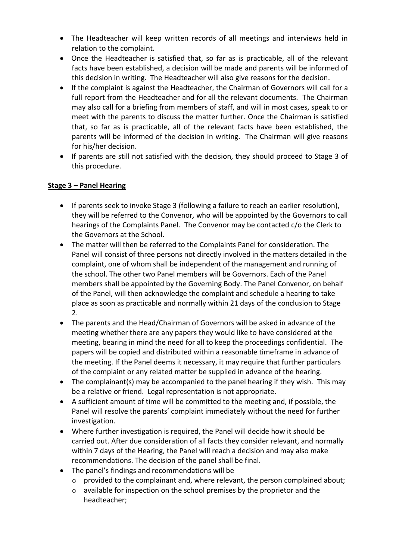- The Headteacher will keep written records of all meetings and interviews held in relation to the complaint.
- Once the Headteacher is satisfied that, so far as is practicable, all of the relevant facts have been established, a decision will be made and parents will be informed of this decision in writing. The Headteacher will also give reasons for the decision.
- If the complaint is against the Headteacher, the Chairman of Governors will call for a full report from the Headteacher and for all the relevant documents. The Chairman may also call for a briefing from members of staff, and will in most cases, speak to or meet with the parents to discuss the matter further. Once the Chairman is satisfied that, so far as is practicable, all of the relevant facts have been established, the parents will be informed of the decision in writing. The Chairman will give reasons for his/her decision.
- If parents are still not satisfied with the decision, they should proceed to Stage 3 of this procedure.

#### **Stage 3 – Panel Hearing**

- If parents seek to invoke Stage 3 (following a failure to reach an earlier resolution), they will be referred to the Convenor*,* who will be appointed by the Governors to call hearings of the Complaints Panel. The Convenor may be contacted c/o the Clerk to the Governors at the School.
- The matter will then be referred to the Complaints Panel for consideration. The Panel will consist of three persons not directly involved in the matters detailed in the complaint, one of whom shall be independent of the management and running of the school. The other two Panel members will be Governors. Each of the Panel members shall be appointed by the Governing Body. The Panel Convenor, on behalf of the Panel, will then acknowledge the complaint and schedule a hearing to take place as soon as practicable and normally within 21 days of the conclusion to Stage 2.
- The parents and the Head/Chairman of Governors will be asked in advance of the meeting whether there are any papers they would like to have considered at the meeting, bearing in mind the need for all to keep the proceedings confidential. The papers will be copied and distributed within a reasonable timeframe in advance of the meeting. If the Panel deems it necessary, it may require that further particulars of the complaint or any related matter be supplied in advance of the hearing.
- The complainant(s) may be accompanied to the panel hearing if they wish. This may be a relative or friend. Legal representation is not appropriate.
- A sufficient amount of time will be committed to the meeting and, if possible, the Panel will resolve the parents' complaint immediately without the need for further investigation.
- Where further investigation is required, the Panel will decide how it should be carried out. After due consideration of all facts they consider relevant, and normally within 7 days of the Hearing, the Panel will reach a decision and may also make recommendations. The decision of the panel shall be final.
- The panel's findings and recommendations will be
	- o provided to the complainant and, where relevant, the person complained about;
	- o available for inspection on the school premises by the proprietor and the headteacher;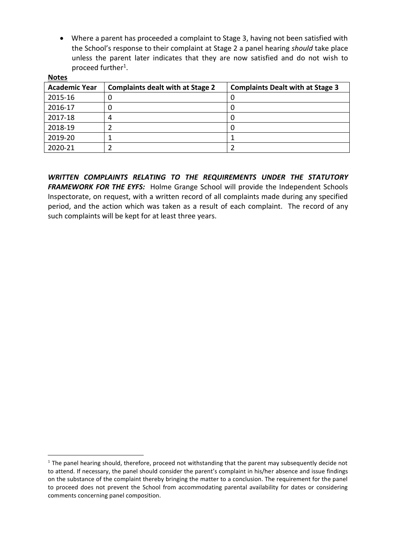• Where a parent has proceeded a complaint to Stage 3, having not been satisfied with the School's response to their complaint at Stage 2 a panel hearing *should* take place unless the parent later indicates that they are now satisfied and do not wish to proceed further<sup>1</sup>.

| <b>INALES</b>        |                                                                                    |  |
|----------------------|------------------------------------------------------------------------------------|--|
| <b>Academic Year</b> | <b>Complaints dealt with at Stage 2</b><br><b>Complaints Dealt with at Stage 3</b> |  |
| 2015-16              |                                                                                    |  |
| 2016-17              |                                                                                    |  |
| 2017-18              |                                                                                    |  |
| 2018-19              |                                                                                    |  |
| 2019-20              |                                                                                    |  |
| 2020-21              |                                                                                    |  |

**Notes** 

1

*WRITTEN COMPLAINTS RELATING TO THE REQUIREMENTS UNDER THE STATUTORY FRAMEWORK FOR THE EYFS:* Holme Grange School will provide the Independent Schools Inspectorate, on request, with a written record of all complaints made during any specified period, and the action which was taken as a result of each complaint. The record of any such complaints will be kept for at least three years.

 $1$  The panel hearing should, therefore, proceed not withstanding that the parent may subsequently decide not to attend. If necessary, the panel should consider the parent's complaint in his/her absence and issue findings on the substance of the complaint thereby bringing the matter to a conclusion. The requirement for the panel to proceed does not prevent the School from accommodating parental availability for dates or considering comments concerning panel composition.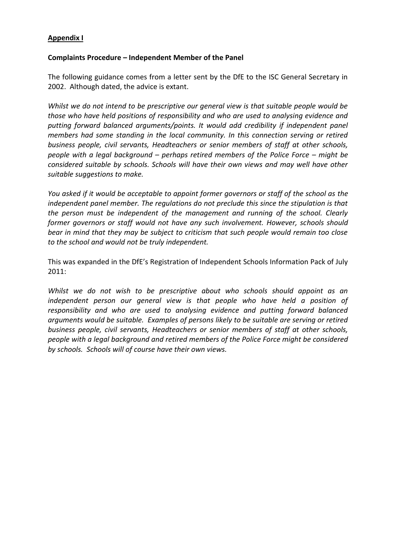#### **Appendix I**

#### **Complaints Procedure – Independent Member of the Panel**

The following guidance comes from a letter sent by the DfE to the ISC General Secretary in 2002. Although dated, the advice is extant.

*Whilst we do not intend to be prescriptive our general view is that suitable people would be those who have held positions of responsibility and who are used to analysing evidence and putting forward balanced arguments/points. It would add credibility if independent panel members had some standing in the local community. In this connection serving or retired business people, civil servants, Headteachers or senior members of staff at other schools, people with a legal background – perhaps retired members of the Police Force – might be considered suitable by schools. Schools will have their own views and may well have other suitable suggestions to make.*

*You asked if it would be acceptable to appoint former governors or staff of the school as the independent panel member. The regulations do not preclude this since the stipulation is that the person must be independent of the management and running of the school. Clearly former governors or staff would not have any such involvement. However, schools should bear in mind that they may be subject to criticism that such people would remain too close to the school and would not be truly independent.*

This was expanded in the DfE's Registration of Independent Schools Information Pack of July 2011:

*Whilst we do not wish to be prescriptive about who schools should appoint as an*  independent person our general view is that people who have held a position of *responsibility and who are used to analysing evidence and putting forward balanced arguments would be suitable. Examples of persons likely to be suitable are serving or retired business people, civil servants, Headteachers or senior members of staff at other schools, people with a legal background and retired members of the Police Force might be considered by schools. Schools will of course have their own views.*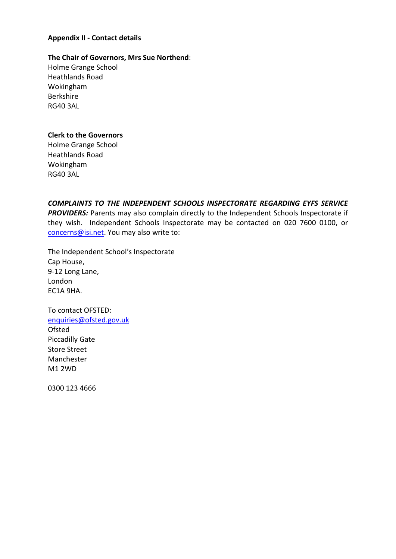#### **Appendix II - Contact details**

#### **The Chair of Governors, Mrs Sue Northend**:

Holme Grange School Heathlands Road Wokingham Berkshire RG40 3AL

#### **Clerk to the Governors**

Holme Grange School Heathlands Road Wokingham RG40 3AL

*COMPLAINTS TO THE INDEPENDENT SCHOOLS INSPECTORATE REGARDING EYFS SERVICE*  **PROVIDERS:** Parents may also complain directly to the Independent Schools Inspectorate if they wish. Independent Schools Inspectorate may be contacted on 020 7600 0100, or [concerns@isi.net.](mailto:concerns@isi.net) You may also write to:

The Independent School's Inspectorate Cap House, 9-12 Long Lane, London EC1A 9HA.

To contact OFSTED: [enquiries@ofsted.gov.uk](mailto:enquiries@ofsted.gov.uk) **Ofsted** Piccadilly Gate Store Street Manchester M1 2WD

0300 123 4666